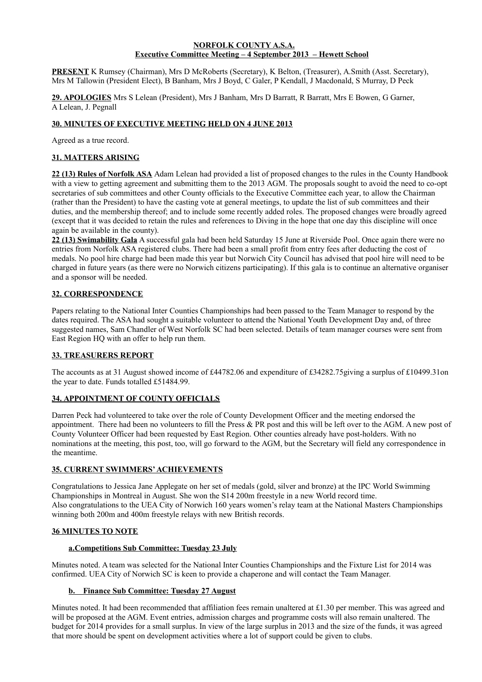#### **NORFOLK COUNTY A.S.A. Executive Committee Meeting – 4 September 2013 – Hewett School**

**PRESENT** K Rumsey (Chairman), Mrs D McRoberts (Secretary), K Belton, (Treasurer), A.Smith (Asst. Secretary), Mrs M Tallowin (President Elect), B Banham, Mrs J Boyd, C Galer, P Kendall, J Macdonald, S Murray, D Peck

**29. APOLOGIES** Mrs S Lelean (President), Mrs J Banham, Mrs D Barratt, R Barratt, Mrs E Bowen, G Garner, A Lelean, J. Pegnall

## **30. MINUTES OF EXECUTIVE MEETING HELD ON 4 JUNE 2013**

Agreed as a true record.

# **31. MATTERS ARISING**

**22 (13) Rules of Norfolk ASA** Adam Lelean had provided a list of proposed changes to the rules in the County Handbook with a view to getting agreement and submitting them to the 2013 AGM. The proposals sought to avoid the need to co-opt secretaries of sub committees and other County officials to the Executive Committee each year, to allow the Chairman (rather than the President) to have the casting vote at general meetings, to update the list of sub committees and their duties, and the membership thereof; and to include some recently added roles. The proposed changes were broadly agreed (except that it was decided to retain the rules and references to Diving in the hope that one day this discipline will once again be available in the county).

**22 (13) Swimability Gala** A successful gala had been held Saturday 15 June at Riverside Pool. Once again there were no entries from Norfolk ASA registered clubs. There had been a small profit from entry fees after deducting the cost of medals. No pool hire charge had been made this year but Norwich City Council has advised that pool hire will need to be charged in future years (as there were no Norwich citizens participating). If this gala is to continue an alternative organiser and a sponsor will be needed.

# **32. CORRESPONDENCE**

Papers relating to the National Inter Counties Championships had been passed to the Team Manager to respond by the dates required. The ASA had sought a suitable volunteer to attend the National Youth Development Day and, of three suggested names, Sam Chandler of West Norfolk SC had been selected. Details of team manager courses were sent from East Region HQ with an offer to help run them.

# **33. TREASURERS REPORT**

The accounts as at 31 August showed income of £44782.06 and expenditure of £34282.75giving a surplus of £10499.31on the year to date. Funds totalled £51484.99.

## **34. APPOINTMENT OF COUNTY OFFICIALS**

Darren Peck had volunteered to take over the role of County Development Officer and the meeting endorsed the appointment. There had been no volunteers to fill the Press & PR post and this will be left over to the AGM. A new post of County Volunteer Officer had been requested by East Region. Other counties already have post-holders. With no nominations at the meeting, this post, too, will go forward to the AGM, but the Secretary will field any correspondence in the meantime.

#### **35. CURRENT SWIMMERS' ACHIEVEMENTS**

Congratulations to Jessica Jane Applegate on her set of medals (gold, silver and bronze) at the IPC World Swimming Championships in Montreal in August. She won the S14 200m freestyle in a new World record time. Also congratulations to the UEA City of Norwich 160 years women's relay team at the National Masters Championships winning both 200m and 400m freestyle relays with new British records.

#### **36 MINUTES TO NOTE**

#### **a.Competitions Sub Committee: Tuesday 23 July**

Minutes noted. A team was selected for the National Inter Counties Championships and the Fixture List for 2014 was confirmed. UEA City of Norwich SC is keen to provide a chaperone and will contact the Team Manager.

## **b. Finance Sub Committee: Tuesday 27 August**

Minutes noted. It had been recommended that affiliation fees remain unaltered at £1.30 per member. This was agreed and will be proposed at the AGM. Event entries, admission charges and programme costs will also remain unaltered. The budget for 2014 provides for a small surplus. In view of the large surplus in 2013 and the size of the funds, it was agreed that more should be spent on development activities where a lot of support could be given to clubs.